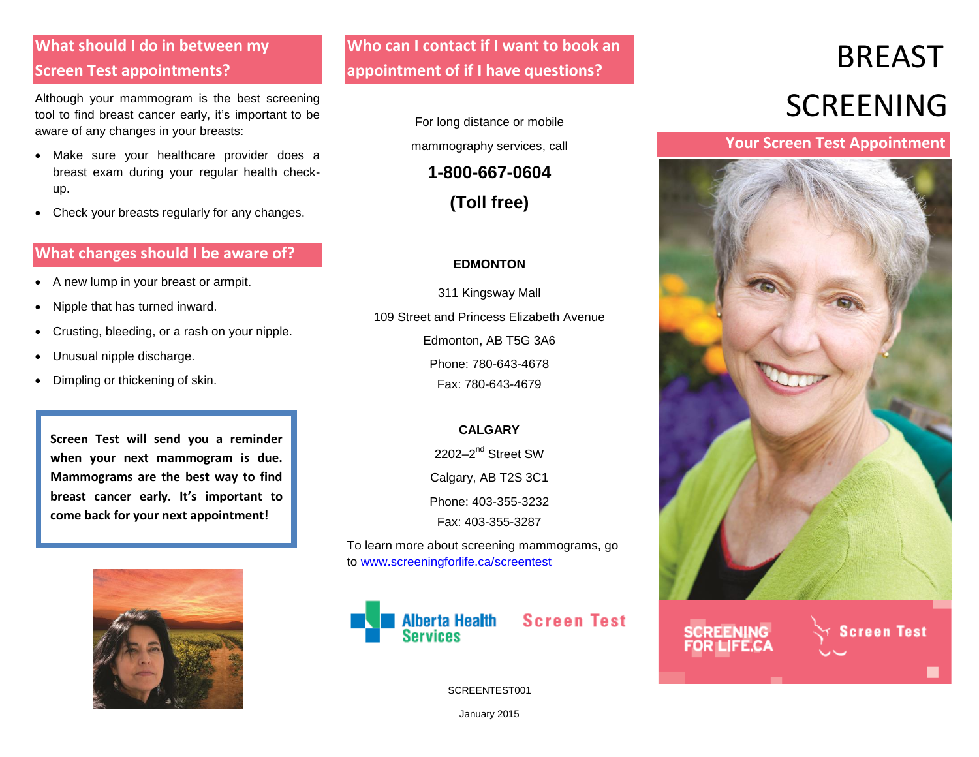## **What should I do in between my Screen Test appointments?**

Although your mammogram is the best screening tool to find breast cancer early, it's important to be aware of any changes in your breasts:

- Make sure your healthcare provider does a breast exam during your regular health checkup.
- Check your breasts regularly for any changes.

#### **What changes should I be aware of?**

- A new lump in your breast or armpit.
- Nipple that has turned inward.
- Crusting, bleeding, or a rash on your nipple.
- Unusual nipple discharge.
- Dimpling or thickening of skin.

**Screen Test will send you a reminder when your next mammogram is due. Mammograms are the best way to find breast cancer early. It's important to come back for your next appointment!**



**Who can I contact if I want to book an appointment of if I have questions?**

> For long distance or mobile mammography services, call

> > **1-800-667-0604**

**(Toll free)**

#### **EDMONTON**

311 Kingsway Mall 109 Street and Princess Elizabeth Avenue Edmonton, AB T5G 3A6 Phone: 780-643-4678 Fax: 780-643-4679

#### **CALGARY**

2202-2<sup>nd</sup> Street SW

Calgary, AB T2S 3C1

Phone: 403-355-3232 Fax: 403-355-3287

To learn more about screening mammograms, go to [www.screeningforlife.ca/screentest](http://www.screeningforlife.ca/screentest)



SCREENTEST001

# BREAST SCREENING

#### **Your Screen Test Appointment**



January 2015